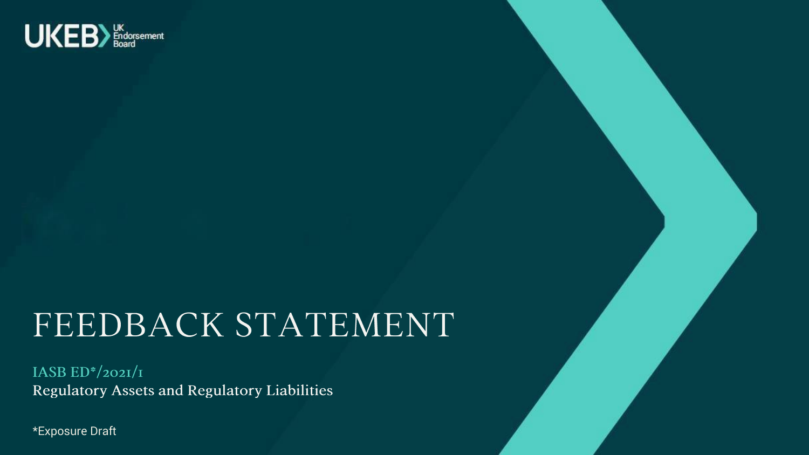

## FEEDBACK STATEMENT

IASB  $ED^*/202I/I$ Regulatory Assets and Regulatory Liabilities

\*Exposure Draft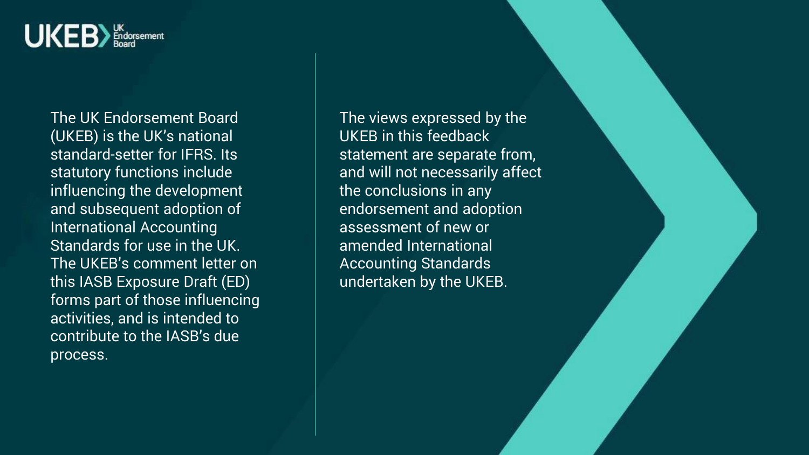

The UK Endorsement Board (UKEB) is the UK's national standard-setter for IFRS. Its statutory functions include influencing the development and subsequent adoption of International Accounting Standards for use in the UK. The UKEB's comment letter on this IASB Exposure Draft (ED) forms part of those influencing activities, and is intended to contribute to the IASB's due process.

The views expressed by the UKEB in this feedback statement are separate from, and will not necessarily affect the conclusions in any endorsement and adoption assessment of new or amended International Accounting Standards undertaken by the UKEB.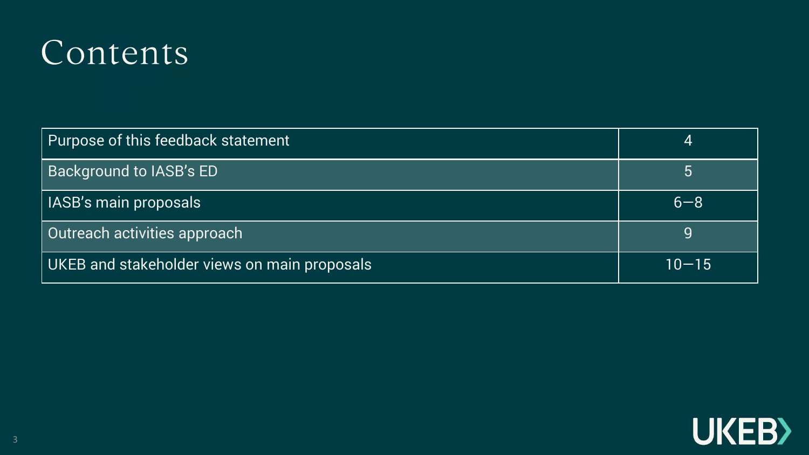### Contents

| Purpose of this feedback statement           | 4         |
|----------------------------------------------|-----------|
| <b>Background to IASB's ED</b>               | 5         |
| <b>IASB's main proposals</b>                 | $6 - 8$   |
| Outreach activities approach                 |           |
| UKEB and stakeholder views on main proposals | $10 - 15$ |

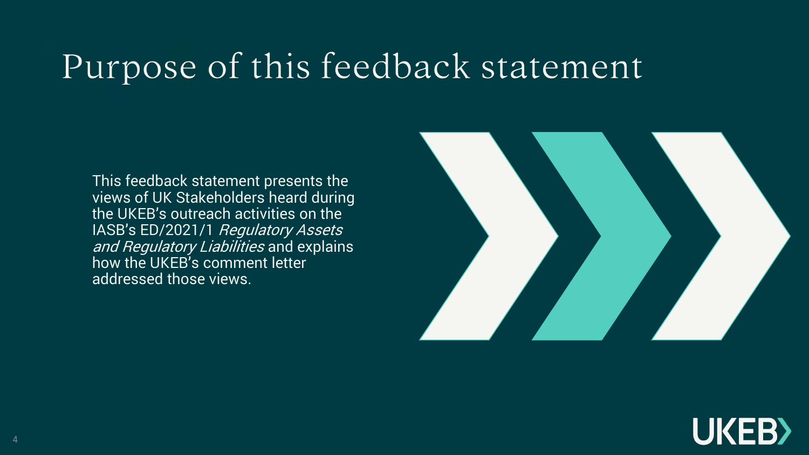## Purpose of this feedback statement

This feedback statement presents the views of UK Stakeholders heard during the UKEB's outreach activities on the IASB's ED/2021/1 Regulatory Assets and Regulatory Liabilities and explains how the UKEB's comment letter addressed those views.



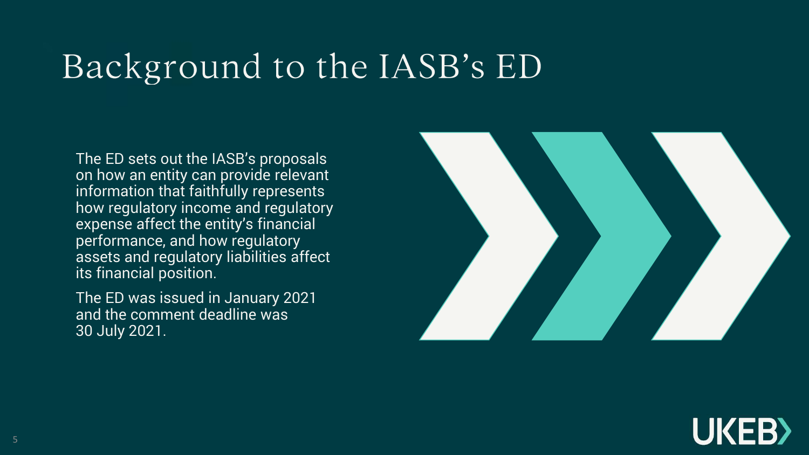## Background to the IASB's ED

The ED sets out the IASB's proposals on how an entity can provide relevant information that faithfully represents how regulatory income and regulatory expense affect the entity's financial performance, and how regulatory assets and regulatory liabilities affect its financial position.

The ED was issued in January 2021 and the comment deadline was 30 July 2021.



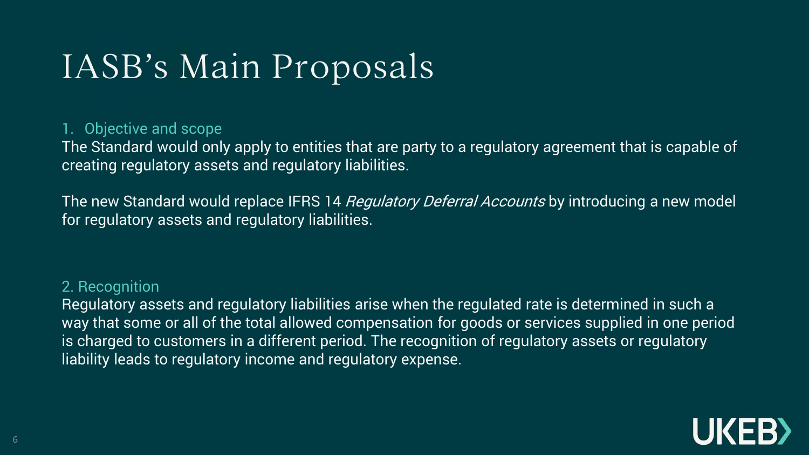## IASB's Main Proposals

#### 1. Objective and scope

The Standard would only apply to entities that are party to a regulatory agreement that is capable of creating regulatory assets and regulatory liabilities.

The new Standard would replace IFRS 14 *Regulatory Deferral Accounts* by introducing a new model for regulatory assets and regulatory liabilities.

#### 2. Recognition

Regulatory assets and regulatory liabilities arise when the regulated rate is determined in such a way that some or all of the total allowed compensation for goods or services supplied in one period is charged to customers in a different period. The recognition of regulatory assets or regulatory liability leads to regulatory income and regulatory expense.

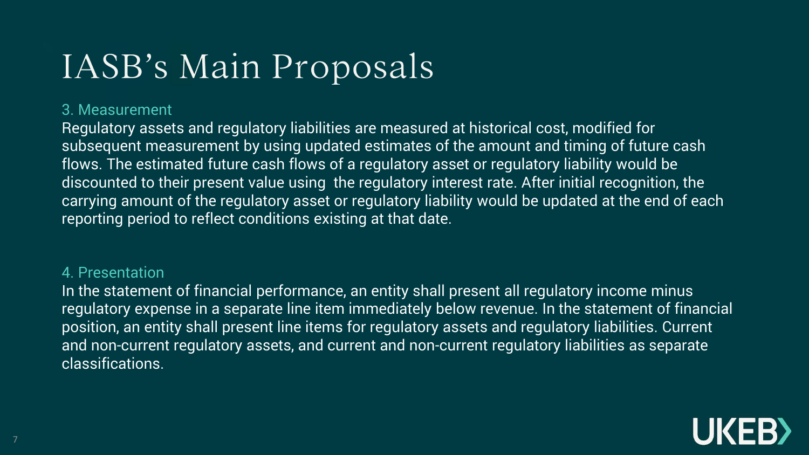## IASB's Main Proposals

#### 3. Measurement

Regulatory assets and regulatory liabilities are measured at historical cost, modified for subsequent measurement by using updated estimates of the amount and timing of future cash flows. The estimated future cash flows of a regulatory asset or regulatory liability would be discounted to their present value using the regulatory interest rate. After initial recognition, the carrying amount of the regulatory asset or regulatory liability would be updated at the end of each reporting period to reflect conditions existing at that date.

#### 4. Presentation

In the statement of financial performance, an entity shall present all regulatory income minus regulatory expense in a separate line item immediately below revenue. In the statement of financial position, an entity shall present line items for regulatory assets and regulatory liabilities. Current and non-current regulatory assets, and current and non-current regulatory liabilities as separate classifications.

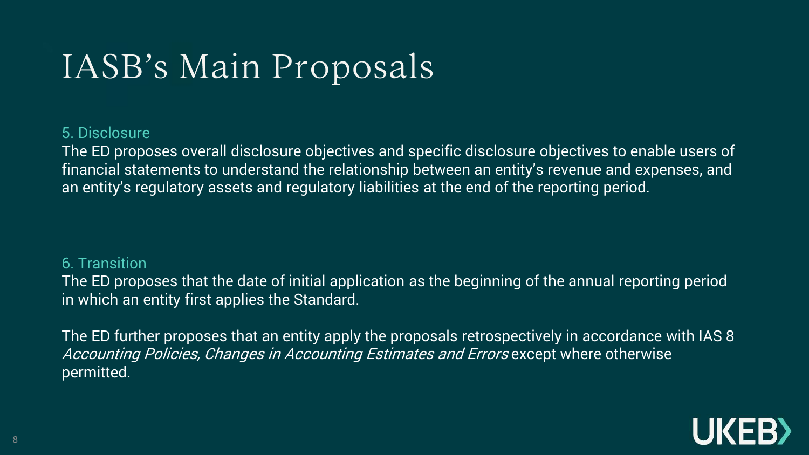## IASB's Main Proposals

#### 5. Disclosure

The ED proposes overall disclosure objectives and specific disclosure objectives to enable users of financial statements to understand the relationship between an entity's revenue and expenses, and an entity's regulatory assets and regulatory liabilities at the end of the reporting period.

#### 6. Transition

The ED proposes that the date of initial application as the beginning of the annual reporting period in which an entity first applies the Standard.

The ED further proposes that an entity apply the proposals retrospectively in accordance with IAS 8 Accounting Policies, Changes in Accounting Estimates and Errors except where otherwise permitted.

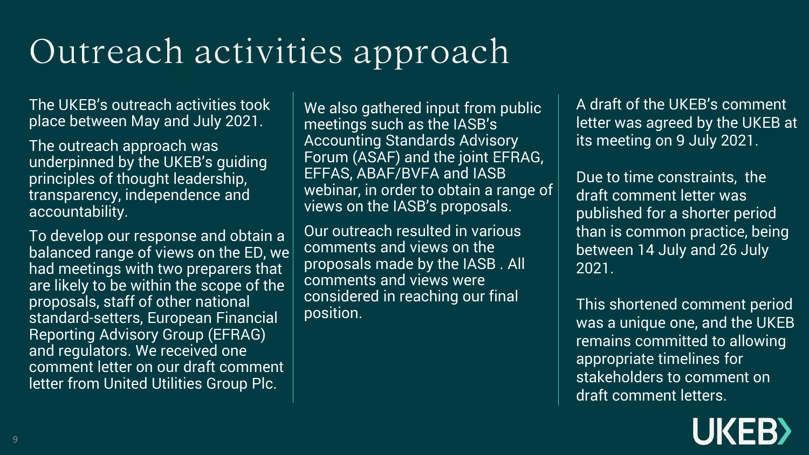## Outreach activities approach

The UKEB's outreach activities took place between May and July 2021.

The outreach approach was underpinned by the UKEB's guiding principles of thought leadership, transparency, independence and accountability.

To develop our response and obtain a balanced range of views on the ED, we had meetings with two preparers that are likely to be within the scope of the proposals, staff of other national standard-setters, European Financial Reporting Advisory Group (EFRAG) and regulators. We received one comment letter on our draft comment letter from United Utilities Group Plc.

We also gathered input from public meetings such as the IASB's Accounting Standards Advisory Forum (ASAF) and the joint EFRAG, EFFAS, ABAF/BVFA and IASB webinar, in order to obtain a range of views on the IASB's proposals.

Our outreach resulted in various comments and views on the proposals made by the IASB . All comments and views were considered in reaching our final position.

A draft of the UKEB's comment letter was agreed by the UKEB at its meeting on 9 July 2021.

Due to time constraints, the draft comment letter was published for a shorter period than is common practice, being between 14 July and 26 July 2021.

This shortened comment period was a unique one, and the UKEB remains committed to allowing appropriate timelines for stakeholders to comment on draft comment letters.

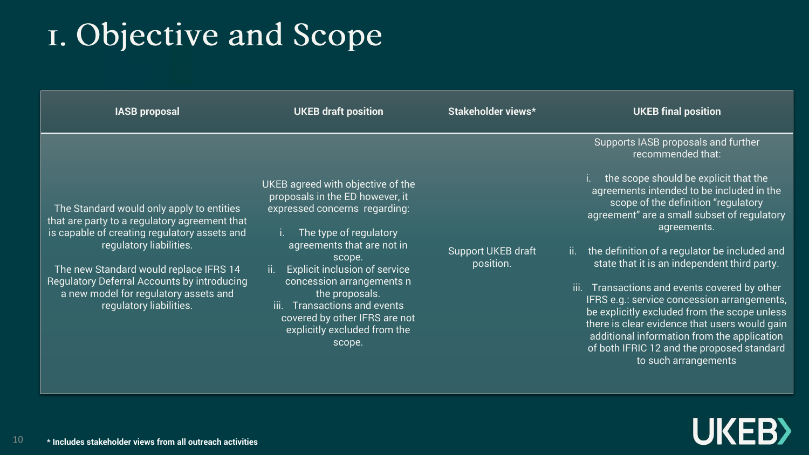### I. Objective and Scope

| <b>IASB proposal</b>                                                                                                                                                                                                                                                                                                               | <b>UKEB draft position</b>                                                                                                                                                                                                                                                                                                                                                           | Stakeholder views*                     | <b>UKEB final position</b>                                                                                                                                                                                                                                                                                                                                                                                                                                                                                                                                                                                                                                                        |
|------------------------------------------------------------------------------------------------------------------------------------------------------------------------------------------------------------------------------------------------------------------------------------------------------------------------------------|--------------------------------------------------------------------------------------------------------------------------------------------------------------------------------------------------------------------------------------------------------------------------------------------------------------------------------------------------------------------------------------|----------------------------------------|-----------------------------------------------------------------------------------------------------------------------------------------------------------------------------------------------------------------------------------------------------------------------------------------------------------------------------------------------------------------------------------------------------------------------------------------------------------------------------------------------------------------------------------------------------------------------------------------------------------------------------------------------------------------------------------|
| The Standard would only apply to entities<br>that are party to a regulatory agreement that<br>is capable of creating regulatory assets and<br>regulatory liabilities.<br>The new Standard would replace IFRS 14<br>Regulatory Deferral Accounts by introducing<br>a new model for regulatory assets and<br>regulatory liabilities. | UKEB agreed with objective of the<br>proposals in the ED however, it<br>expressed concerns regarding:<br>The type of regulatory<br>agreements that are not in<br>scope.<br><b>Explicit inclusion of service</b><br>ii.<br>concession arrangements n<br>the proposals.<br>Transactions and events<br>-iii.<br>covered by other IFRS are not<br>explicitly excluded from the<br>scope. | <b>Support UKEB draft</b><br>position. | Supports IASB proposals and further<br>recommended that:<br>the scope should be explicit that the<br>agreements intended to be included in the<br>scope of the definition "regulatory<br>agreement" are a small subset of regulatory<br>agreements.<br>the definition of a regulator be included and<br>ii.<br>state that it is an independent third party.<br>iii. Transactions and events covered by other<br>IFRS e.g.: service concession arrangements,<br>be explicitly excluded from the scope unless<br>there is clear evidence that users would gain<br>additional information from the application<br>of both IFRIC 12 and the proposed standard<br>to such arrangements |

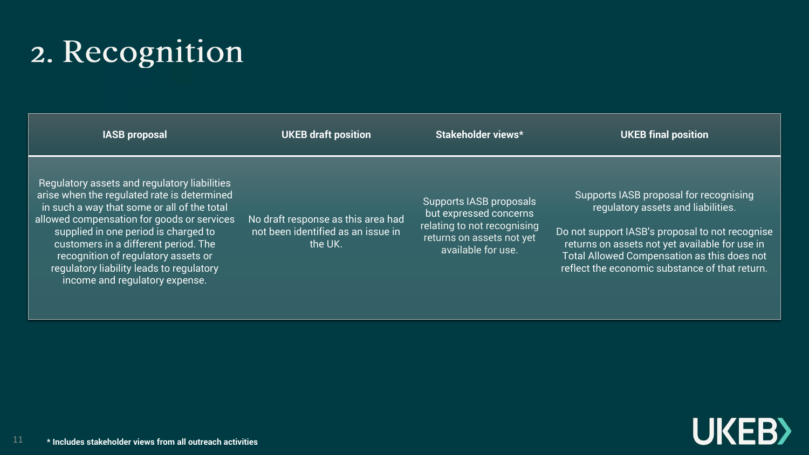# 2. Recognition

| <b>IASB proposal</b>                                                                                                                                                                                                                                                                                                                                                                          | <b>UKEB draft position</b>                                                          | Stakeholder views*                                                                                                                  | <b>UKEB final position</b>                                                                                                                                                                                                                                                         |
|-----------------------------------------------------------------------------------------------------------------------------------------------------------------------------------------------------------------------------------------------------------------------------------------------------------------------------------------------------------------------------------------------|-------------------------------------------------------------------------------------|-------------------------------------------------------------------------------------------------------------------------------------|------------------------------------------------------------------------------------------------------------------------------------------------------------------------------------------------------------------------------------------------------------------------------------|
| Regulatory assets and regulatory liabilities<br>arise when the regulated rate is determined<br>in such a way that some or all of the total<br>allowed compensation for goods or services<br>supplied in one period is charged to<br>customers in a different period. The<br>recognition of regulatory assets or<br>regulatory liability leads to regulatory<br>income and regulatory expense. | No draft response as this area had<br>not been identified as an issue in<br>the UK. | Supports IASB proposals<br>but expressed concerns<br>relating to not recognising<br>returns on assets not yet<br>available for use. | Supports IASB proposal for recognising<br>regulatory assets and liabilities.<br>Do not support IASB's proposal to not recognise<br>returns on assets not yet available for use in<br>Total Allowed Compensation as this does not<br>reflect the economic substance of that return. |

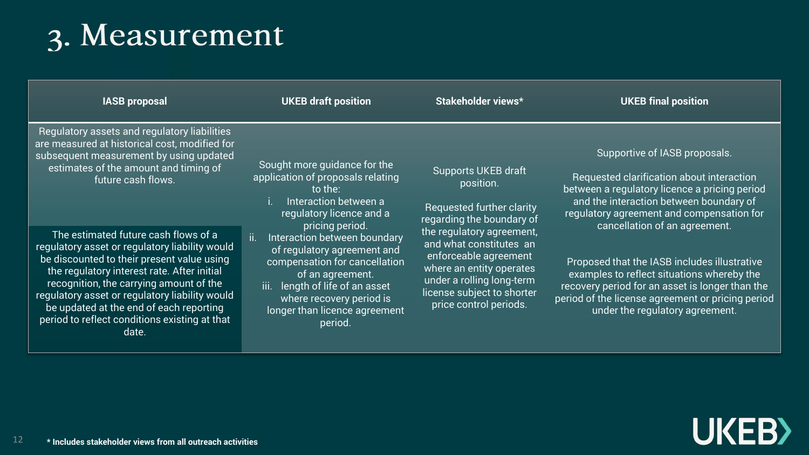### 3. Measurement

| <b>IASB proposal</b>                                                                                                                                                                                                                                                                                                                                                                  | <b>UKEB draft position</b>                                                                                                                                                                                                                                                                                                                                                                 | Stakeholder views*                                                                                                                                                                             | <b>UKEB final position</b>                                                                                                                                                                                                                           |
|---------------------------------------------------------------------------------------------------------------------------------------------------------------------------------------------------------------------------------------------------------------------------------------------------------------------------------------------------------------------------------------|--------------------------------------------------------------------------------------------------------------------------------------------------------------------------------------------------------------------------------------------------------------------------------------------------------------------------------------------------------------------------------------------|------------------------------------------------------------------------------------------------------------------------------------------------------------------------------------------------|------------------------------------------------------------------------------------------------------------------------------------------------------------------------------------------------------------------------------------------------------|
| Regulatory assets and regulatory liabilities<br>are measured at historical cost, modified for<br>subsequent measurement by using updated<br>estimates of the amount and timing of<br>future cash flows.                                                                                                                                                                               | Sought more guidance for the<br>application of proposals relating<br>to the:<br>Interaction between a<br>regulatory licence and a<br>pricing period.<br>ii.<br>Interaction between boundary<br>of regulatory agreement and<br>compensation for cancellation<br>of an agreement.<br>iii. length of life of an asset<br>where recovery period is<br>longer than licence agreement<br>period. | <b>Supports UKEB draft</b><br>position.<br><b>Requested further clarity</b><br>regarding the boundary of                                                                                       | Supportive of IASB proposals.<br>Requested clarification about interaction<br>between a regulatory licence a pricing period<br>and the interaction between boundary of<br>regulatory agreement and compensation for<br>cancellation of an agreement. |
| The estimated future cash flows of a<br>regulatory asset or regulatory liability would<br>be discounted to their present value using<br>the regulatory interest rate. After initial<br>recognition, the carrying amount of the<br>regulatory asset or regulatory liability would<br>be updated at the end of each reporting<br>period to reflect conditions existing at that<br>date. |                                                                                                                                                                                                                                                                                                                                                                                            | the regulatory agreement,<br>and what constitutes an<br>enforceable agreement<br>where an entity operates<br>under a rolling long-term<br>license subject to shorter<br>price control periods. | Proposed that the IASB includes illustrative<br>examples to reflect situations whereby the<br>recovery period for an asset is longer than the<br>period of the license agreement or pricing period<br>under the regulatory agreement.                |

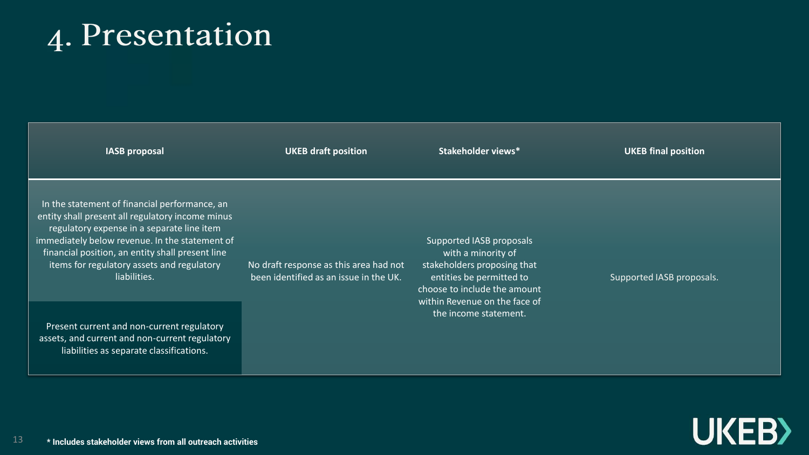### 4. Presentation

| <b>IASB proposal</b>                                                                                                                                                                                                                                                                                                | <b>UKEB draft position</b>                                                       | Stakeholder views*                                                                                                                                                                                  | <b>UKEB final position</b> |
|---------------------------------------------------------------------------------------------------------------------------------------------------------------------------------------------------------------------------------------------------------------------------------------------------------------------|----------------------------------------------------------------------------------|-----------------------------------------------------------------------------------------------------------------------------------------------------------------------------------------------------|----------------------------|
| In the statement of financial performance, an<br>entity shall present all regulatory income minus<br>regulatory expense in a separate line item<br>immediately below revenue. In the statement of<br>financial position, an entity shall present line<br>items for regulatory assets and regulatory<br>liabilities. | No draft response as this area had not<br>been identified as an issue in the UK. | Supported IASB proposals<br>with a minority of<br>stakeholders proposing that<br>entities be permitted to<br>choose to include the amount<br>within Revenue on the face of<br>the income statement. | Supported IASB proposals.  |
| Present current and non-current regulatory<br>assets, and current and non-current regulatory<br>liabilities as separate classifications.                                                                                                                                                                            |                                                                                  |                                                                                                                                                                                                     |                            |

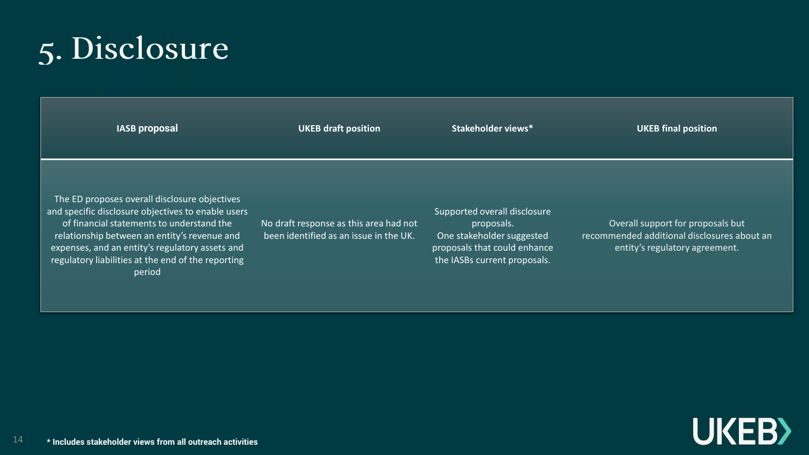## 5. Disclosure

| <b>IASB proposal</b>                                                                                                                                                                                                                                                                                                | <b>UKEB draft position</b>                                                       | Stakeholder views*                                                                                                                      | <b>UKEB final position</b>                                                                                         |
|---------------------------------------------------------------------------------------------------------------------------------------------------------------------------------------------------------------------------------------------------------------------------------------------------------------------|----------------------------------------------------------------------------------|-----------------------------------------------------------------------------------------------------------------------------------------|--------------------------------------------------------------------------------------------------------------------|
| The ED proposes overall disclosure objectives<br>and specific disclosure objectives to enable users<br>of financial statements to understand the<br>relationship between an entity's revenue and<br>expenses, and an entity's regulatory assets and<br>regulatory liabilities at the end of the reporting<br>period | No draft response as this area had not<br>been identified as an issue in the UK. | Supported overall disclosure<br>proposals.<br>One stakeholder suggested<br>proposals that could enhance<br>the IASBs current proposals. | Overall support for proposals but<br>recommended additional disclosures about an<br>entity's regulatory agreement. |

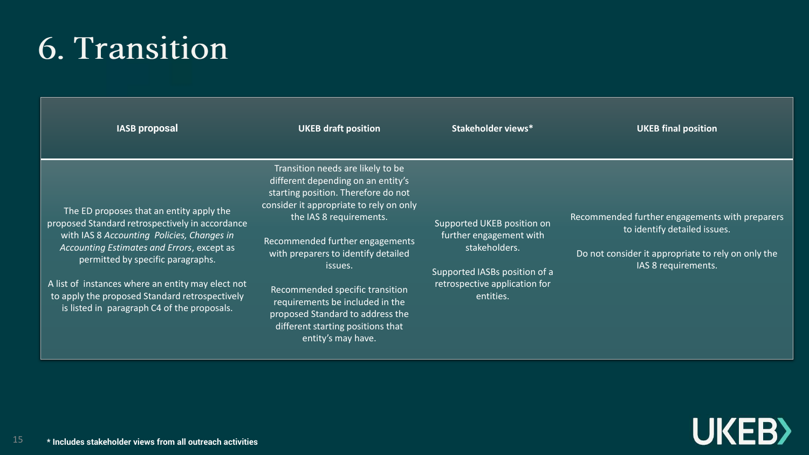### 6. Transition

| <b>IASB proposal</b>                                                                                                                                                                                                                                                                                                                                                               | <b>UKEB draft position</b>                                                                                                                                                                                                                                                                                                                                                                                                                     | Stakeholder views*                                                                                                                                    | <b>UKEB final position</b>                                                                                                                                  |
|------------------------------------------------------------------------------------------------------------------------------------------------------------------------------------------------------------------------------------------------------------------------------------------------------------------------------------------------------------------------------------|------------------------------------------------------------------------------------------------------------------------------------------------------------------------------------------------------------------------------------------------------------------------------------------------------------------------------------------------------------------------------------------------------------------------------------------------|-------------------------------------------------------------------------------------------------------------------------------------------------------|-------------------------------------------------------------------------------------------------------------------------------------------------------------|
| The ED proposes that an entity apply the<br>proposed Standard retrospectively in accordance<br>with IAS 8 Accounting Policies, Changes in<br>Accounting Estimates and Errors, except as<br>permitted by specific paragraphs.<br>A list of instances where an entity may elect not<br>to apply the proposed Standard retrospectively<br>is listed in paragraph C4 of the proposals. | Transition needs are likely to be<br>different depending on an entity's<br>starting position. Therefore do not<br>consider it appropriate to rely on only<br>the IAS 8 requirements.<br>Recommended further engagements<br>with preparers to identify detailed<br>issues.<br>Recommended specific transition<br>requirements be included in the<br>proposed Standard to address the<br>different starting positions that<br>entity's may have. | Supported UKEB position on<br>further engagement with<br>stakeholders.<br>Supported IASBs position of a<br>retrospective application for<br>entities. | Recommended further engagements with preparers<br>to identify detailed issues.<br>Do not consider it appropriate to rely on only the<br>IAS 8 requirements. |

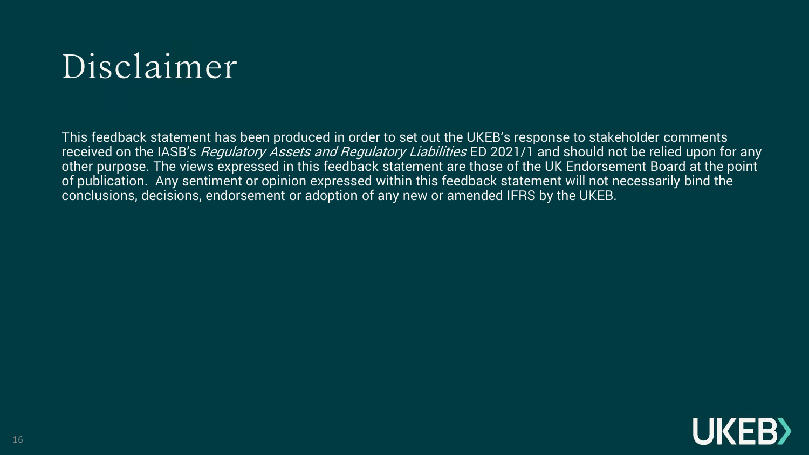## Disclaimer

This feedback statement has been produced in order to set out the UKEB's response to stakeholder comments received on the IASB's *Regulatory Assets and Regulatory Liabilities* ED 2021/1 and should not be relied upon for any other purpose. The views expressed in this feedback statement are those of the UK Endorsement Board at the point of publication. Any sentiment or opinion expressed within this feedback statement will not necessarily bind the conclusions, decisions, endorsement or adoption of any new or amended IFRS by the UKEB.